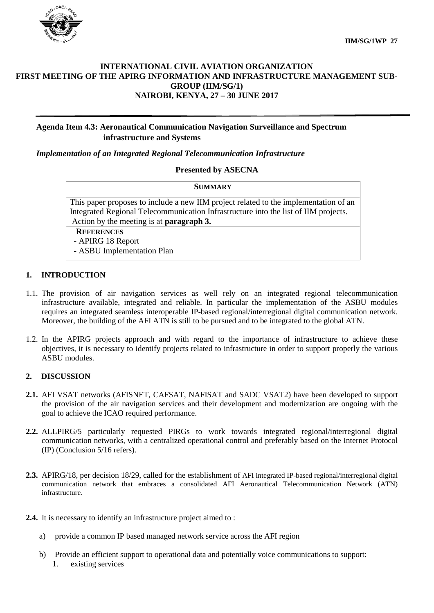

### **INTERNATIONAL CIVIL AVIATION ORGANIZATION FIRST MEETING OF THE APIRG INFORMATION AND INFRASTRUCTURE MANAGEMENT SUB-GROUP (IIM/SG/1) NAIROBI, KENYA, 27 – 30 JUNE 2017**

## **Agenda Item 4.3: Aeronautical Communication Navigation Surveillance and Spectrum infrastructure and Systems**

*Implementation of an Integrated Regional Telecommunication Infrastructure*

#### **Presented by ASECNA**

| <b>SUMMARY</b>                                                                       |
|--------------------------------------------------------------------------------------|
| This paper proposes to include a new IIM project related to the implementation of an |
| Integrated Regional Telecommunication Infrastructure into the list of IIM projects.  |
| Action by the meeting is at <b>paragraph 3.</b>                                      |
| <b>REFERENCES</b>                                                                    |
| - APIRG 18 Report                                                                    |
| - ASBU Implementation Plan                                                           |
|                                                                                      |

### **1. INTRODUCTION**

- 1.1. The provision of air navigation services as well rely on an integrated regional telecommunication infrastructure available, integrated and reliable. In particular the implementation of the ASBU modules requires an integrated seamless interoperable IP-based regional/interregional digital communication network. Moreover, the building of the AFI ATN is still to be pursued and to be integrated to the global ATN.
- 1.2. In the APIRG projects approach and with regard to the importance of infrastructure to achieve these objectives, it is necessary to identify projects related to infrastructure in order to support properly the various ASBU modules.

#### **2. DISCUSSION**

- **2.1.** AFI VSAT networks (AFISNET, CAFSAT, NAFISAT and SADC VSAT2) have been developed to support the provision of the air navigation services and their development and modernization are ongoing with the goal to achieve the ICAO required performance.
- **2.2.** ALLPIRG/5 particularly requested PIRGs to work towards integrated regional/interregional digital communication networks, with a centralized operational control and preferably based on the Internet Protocol (IP) (Conclusion 5/16 refers).
- **2.3.** APIRG/18, per decision 18/29, called for the establishment of AFI integrated IP-based regional/interregional digital communication network that embraces a consolidated AFI Aeronautical Telecommunication Network (ATN) infrastructure.
- **2.4.** It is necessary to identify an infrastructure project aimed to :
	- a) provide a common IP based managed network service across the AFI region
	- b) Provide an efficient support to operational data and potentially voice communications to support: 1. existing services